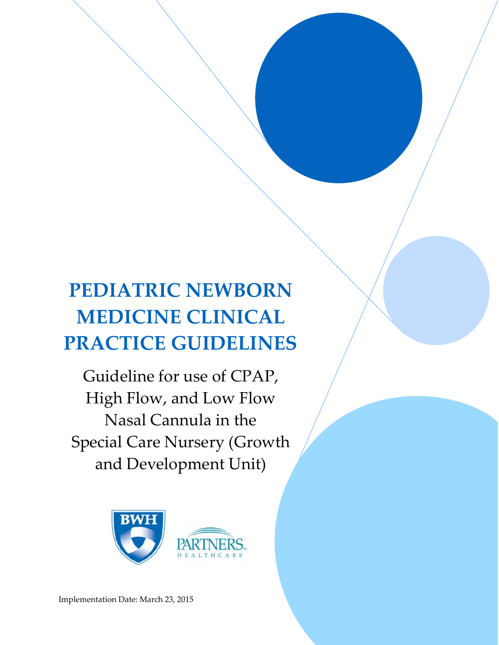## **PEDIATRIC NEWBORN MEDICINE CLINICAL PRACTICE GUIDELINES**

 

Guideline for use of CPAP, High Flow, and Low Flow Nasal Cannula in the Special Care Nursery (Growth and Development Unit)

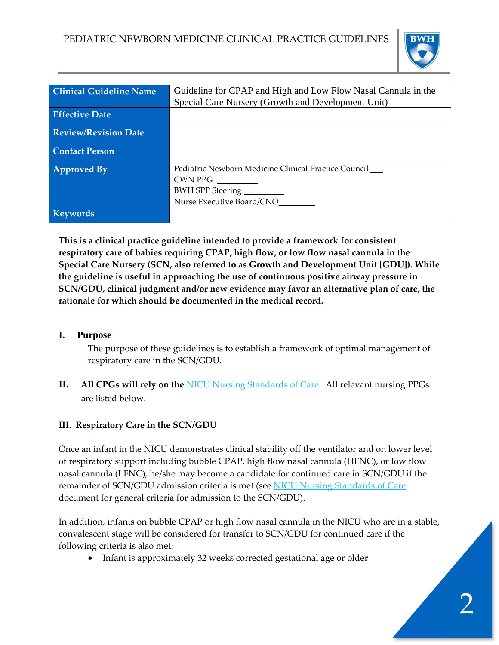

| <b>Clinical Guideline Name</b> | Guideline for CPAP and High and Low Flow Nasal Cannula in the |
|--------------------------------|---------------------------------------------------------------|
|                                | Special Care Nursery (Growth and Development Unit)            |
| <b>Effective Date</b>          |                                                               |
| <b>Review/Revision Date</b>    |                                                               |
|                                |                                                               |
| <b>Contact Person</b>          |                                                               |
|                                |                                                               |
| <b>Approved By</b>             | Pediatric Newborn Medicine Clinical Practice Council          |
|                                | CWN PPG                                                       |
|                                | BWH SPP Steering                                              |
|                                | Nurse Executive Board/CNO                                     |
| <b>Keywords</b>                |                                                               |
|                                |                                                               |

**This is a clinical practice guideline intended to provide a framework for consistent respiratory care of babies requiring CPAP, high flow, or low flow nasal cannula in the Special Care Nursery (SCN, also referred to as Growth and Development Unit [GDU]). While the guideline is useful in approaching the use of continuous positive airway pressure in SCN/GDU, clinical judgment and/or new evidence may favor an alternative plan of care, the rationale for which should be documented in the medical record.**

## **I. Purpose**

The purpose of these guidelines is to establish a framework of optimal management of respiratory care in the SCN/GDU.

**II. All CPGs will rely on the** NICU Nursing Standards of Care. All relevant nursing PPGs are listed below.

## **III. Respiratory Care in the SCN/GDU**

Once an infant in the NICU demonstrates clinical stability off the ventilator and on lower level of respiratory support including bubble CPAP, high flow nasal cannula (HFNC), or low flow nasal cannula (LFNC), he/she may become a candidate for continued care in SCN/GDU if the remainder of SCN/GDU admission criteria is met (see NICU Nursing Standards of Care document for general criteria for admission to the SCN/GDU).

In addition, infants on bubble CPAP or high flow nasal cannula in the NICU who are in a stable, convalescent stage will be considered for transfer to SCN/GDU for continued care if the following criteria is also met:

• Infant is approximately 32 weeks corrected gestational age or older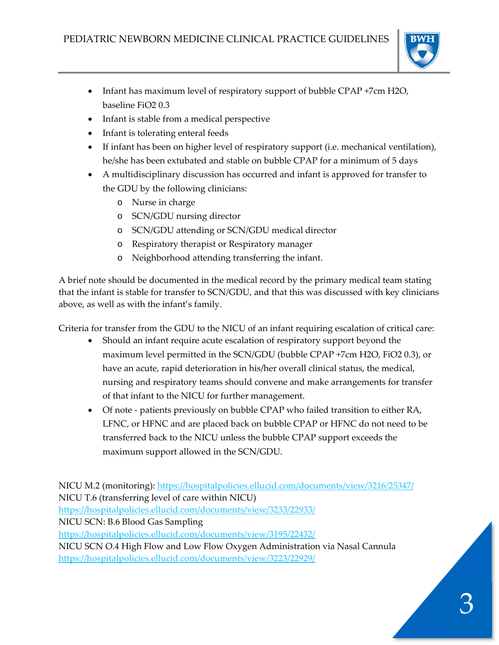

- Infant has maximum level of respiratory support of bubble CPAP +7cm H2O, baseline FiO2 0.3
- Infant is stable from a medical perspective
- Infant is tolerating enteral feeds
- If infant has been on higher level of respiratory support (i.e. mechanical ventilation), he/she has been extubated and stable on bubble CPAP for a minimum of 5 days
- A multidisciplinary discussion has occurred and infant is approved for transfer to the GDU by the following clinicians:
	- o Nurse in charge
	- o SCN/GDU nursing director
	- o SCN/GDU attending or SCN/GDU medical director
	- o Respiratory therapist or Respiratory manager
	- o Neighborhood attending transferring the infant.

A brief note should be documented in the medical record by the primary medical team stating that the infant is stable for transfer to SCN/GDU, and that this was discussed with key clinicians above, as well as with the infant's family.

Criteria for transfer from the GDU to the NICU of an infant requiring escalation of critical care:

- Should an infant require acute escalation of respiratory support beyond the maximum level permitted in the SCN/GDU (bubble CPAP +7cm H2O, FiO2 0.3), or have an acute, rapid deterioration in his/her overall clinical status, the medical, nursing and respiratory teams should convene and make arrangements for transfer of that infant to the NICU for further management.
- Of note patients previously on bubble CPAP who failed transition to either RA, LFNC, or HFNC and are placed back on bubble CPAP or HFNC do not need to be transferred back to the NICU unless the bubble CPAP support exceeds the maximum support allowed in the SCN/GDU.

NICU M.2 (monitoring): https://hospitalpolicies.ellucid.com/documents/view/3216/25347/ NICU T.6 (transferring level of care within NICU) https://hospitalpolicies.ellucid.com/documents/view/3233/22933/ NICU SCN: B.6 Blood Gas Sampling https://hospitalpolicies.ellucid.com/documents/view/3195/22432/ NICU SCN O.4 High Flow and Low Flow Oxygen Administration via Nasal Cannula https://hospitalpolicies.ellucid.com/documents/view/3223/22929/